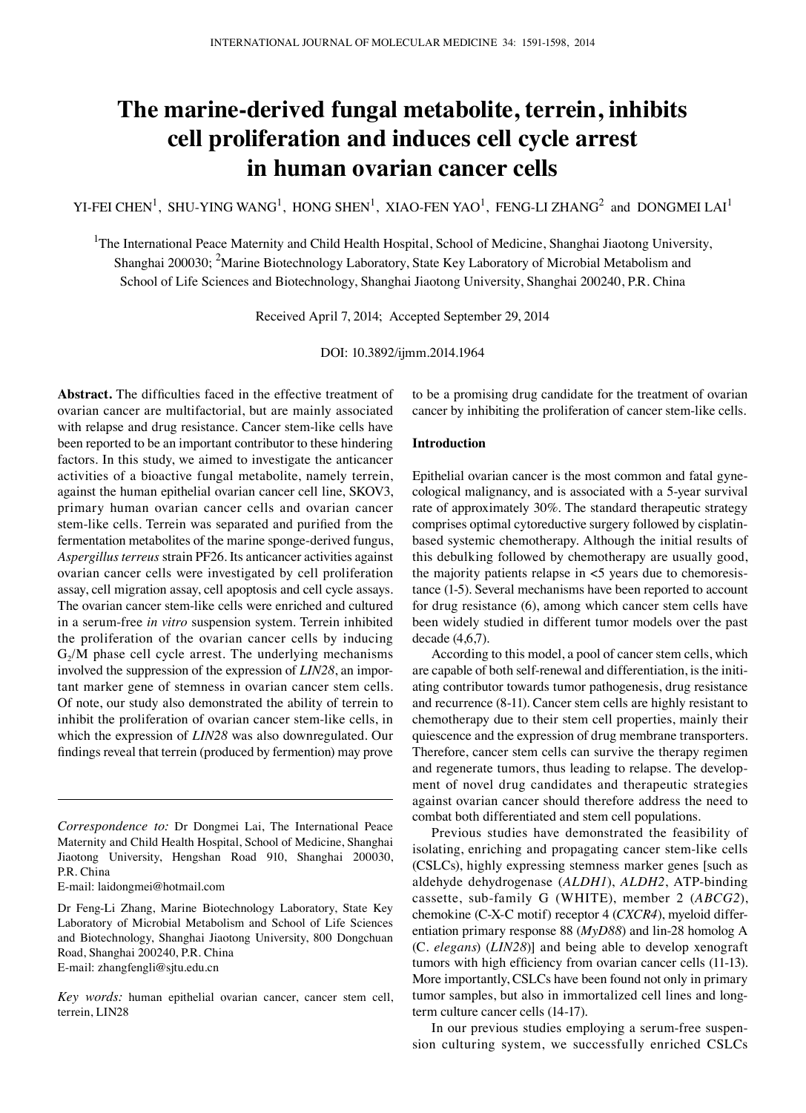# **The marine-derived fungal metabolite, terrein, inhibits cell proliferation and induces cell cycle arrest in human ovarian cancer cells**

YI-FEI CHEN<sup>1</sup>, SHU-YING WANG<sup>1</sup>, HONG SHEN<sup>1</sup>, XIAO-FEN YAO<sup>1</sup>, FENG-LI ZHANG<sup>2</sup> and DONGMEI LAI<sup>1</sup>

<sup>1</sup>The International Peace Maternity and Child Health Hospital, School of Medicine, Shanghai Jiaotong University, Shanghai 200030; <sup>2</sup>Marine Biotechnology Laboratory, State Key Laboratory of Microbial Metabolism and School of Life Sciences and Biotechnology, Shanghai Jiaotong University, Shanghai 200240, P.R. China

Received April 7, 2014; Accepted September 29, 2014

DOI: 10.3892/ijmm.2014.1964

**Abstract.** The difficulties faced in the effective treatment of ovarian cancer are multifactorial, but are mainly associated with relapse and drug resistance. Cancer stem-like cells have been reported to be an important contributor to these hindering factors. In this study, we aimed to investigate the anticancer activities of a bioactive fungal metabolite, namely terrein, against the human epithelial ovarian cancer cell line, SKOV3, primary human ovarian cancer cells and ovarian cancer stem-like cells. Terrein was separated and purified from the fermentation metabolites of the marine sponge-derived fungus, *Aspergillus terreus* strain PF26. Its anticancer activities against ovarian cancer cells were investigated by cell proliferation assay, cell migration assay, cell apoptosis and cell cycle assays. The ovarian cancer stem-like cells were enriched and cultured in a serum-free *in vitro* suspension system. Terrein inhibited the proliferation of the ovarian cancer cells by inducing  $G<sub>2</sub>/M$  phase cell cycle arrest. The underlying mechanisms involved the suppression of the expression of *LIN28*, an important marker gene of stemness in ovarian cancer stem cells. Of note, our study also demonstrated the ability of terrein to inhibit the proliferation of ovarian cancer stem-like cells, in which the expression of *LIN28* was also downregulated. Our findings reveal that terrein (produced by fermention) may prove

E-mail: laidongmei@hotmail.com

*Key words:* human epithelial ovarian cancer, cancer stem cell, terrein, LIN28

to be a promising drug candidate for the treatment of ovarian cancer by inhibiting the proliferation of cancer stem-like cells.

## **Introduction**

Epithelial ovarian cancer is the most common and fatal gynecological malignancy, and is associated with a 5-year survival rate of approximately 30%. The standard therapeutic strategy comprises optimal cytoreductive surgery followed by cisplatinbased systemic chemotherapy. Although the initial results of this debulking followed by chemotherapy are usually good, the majority patients relapse in <5 years due to chemoresistance (1-5). Several mechanisms have been reported to account for drug resistance (6), among which cancer stem cells have been widely studied in different tumor models over the past decade (4,6,7).

According to this model, a pool of cancer stem cells, which are capable of both self-renewal and differentiation, is the initiating contributor towards tumor pathogenesis, drug resistance and recurrence (8-11). Cancer stem cells are highly resistant to chemotherapy due to their stem cell properties, mainly their quiescence and the expression of drug membrane transporters. Therefore, cancer stem cells can survive the therapy regimen and regenerate tumors, thus leading to relapse. The development of novel drug candidates and therapeutic strategies against ovarian cancer should therefore address the need to combat both differentiated and stem cell populations.

Previous studies have demonstrated the feasibility of isolating, enriching and propagating cancer stem-like cells (CSLCs), highly expressing stemness marker genes [such as aldehyde dehydrogenase (*ALDH1*), *ALDH2*, ATP-binding cassette, sub-family G (WHITE), member 2 (*ABCG2*), chemokine (C-X-C motif) receptor 4 (*CXCR4*), myeloid differentiation primary response 88 (*MyD88*) and lin-28 homolog A (C*. elegans*) (*LIN28*)] and being able to develop xenograft tumors with high efficiency from ovarian cancer cells (11-13). More importantly, CSLCs have been found not only in primary tumor samples, but also in immortalized cell lines and longterm culture cancer cells (14-17).

In our previous studies employing a serum-free suspension culturing system, we successfully enriched CSLCs

*Correspondence to:* Dr Dongmei Lai, The International Peace Maternity and Child Health Hospital, School of Medicine, Shanghai Jiaotong University, Hengshan Road 910, Shanghai 200030, P.R. China

Dr Feng-Li Zhang, Marine Biotechnology Laboratory, State Key Laboratory of Microbial Metabolism and School of Life Sciences and Biotechnology, Shanghai Jiaotong University, 800 Dongchuan Road, Shanghai 200240, P.R. China E-mail: zhangfengli@sjtu.edu.cn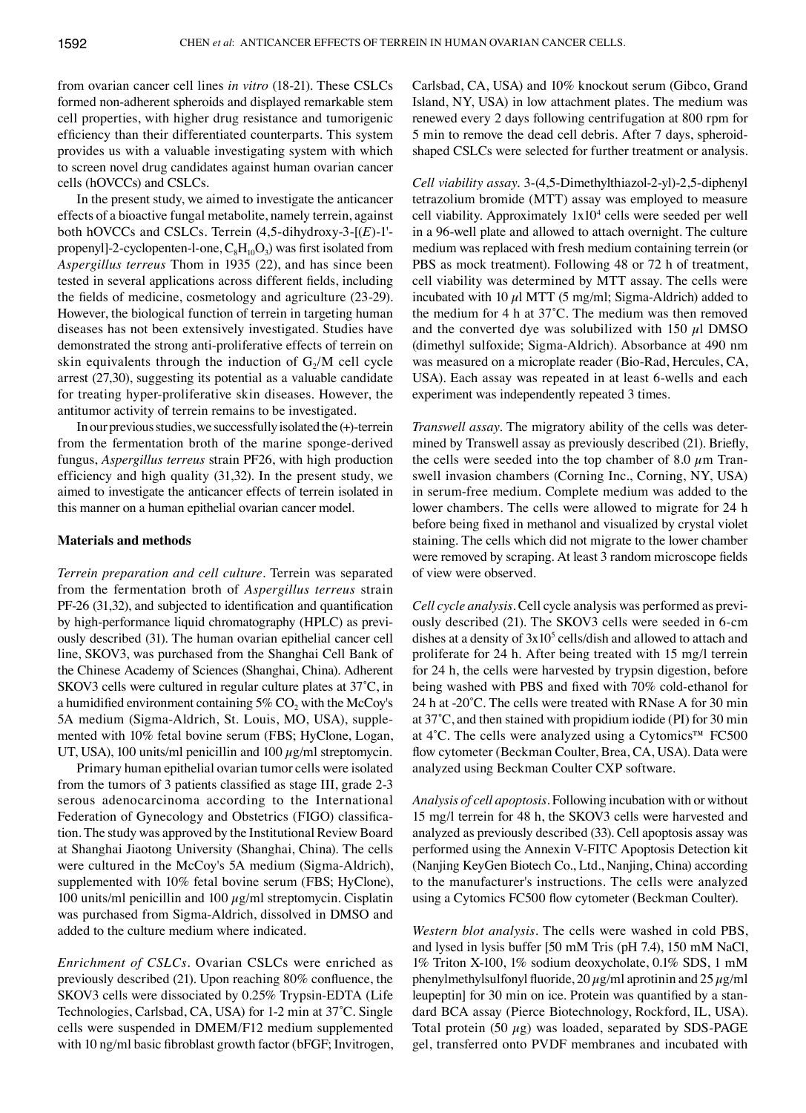from ovarian cancer cell lines *in vitro* (18-21). These CSLCs formed non-adherent spheroids and displayed remarkable stem cell properties, with higher drug resistance and tumorigenic efficiency than their differentiated counterparts. This system provides us with a valuable investigating system with which to screen novel drug candidates against human ovarian cancer cells (hOVCCs) and CSLCs.

In the present study, we aimed to investigate the anticancer effects of a bioactive fungal metabolite, namely terrein, against both hOVCCs and CSLCs. Terrein (4,5-dihydroxy-3-[(*E*)-1' propenyl]-2-cyclopenten-l-one,  $C_8H_{10}O_3$ ) was first isolated from *Aspergillus terreus* Thom in 1935 (22), and has since been tested in several applications across different fields, including the fields of medicine, cosmetology and agriculture (23-29). However, the biological function of terrein in targeting human diseases has not been extensively investigated. Studies have demonstrated the strong anti-proliferative effects of terrein on skin equivalents through the induction of  $G_2/M$  cell cycle arrest (27,30), suggesting its potential as a valuable candidate for treating hyper-proliferative skin diseases. However, the antitumor activity of terrein remains to be investigated.

In our previous studies, we successfully isolated the  $(+)$ -terrein from the fermentation broth of the marine sponge-derived fungus, *Aspergillus terreus* strain PF26, with high production efficiency and high quality (31,32). In the present study, we aimed to investigate the anticancer effects of terrein isolated in this manner on a human epithelial ovarian cancer model.

## **Materials and methods**

*Terrein preparation and cell culture.* Terrein was separated from the fermentation broth of *Aspergillus terreus* strain PF-26 (31,32), and subjected to identification and quantification by high-performance liquid chromatography (HPLC) as previously described (31). The human ovarian epithelial cancer cell line, SKOV3, was purchased from the Shanghai Cell Bank of the Chinese Academy of Sciences (Shanghai, China). Adherent SKOV3 cells were cultured in regular culture plates at 37˚C, in a humidified environment containing  $5\%$  CO<sub>2</sub> with the McCoy's 5A medium (Sigma-Aldrich, St. Louis, MO, USA), supplemented with 10% fetal bovine serum (FBS; HyClone, Logan, UT, USA), 100 units/ml penicillin and 100  $\mu$ g/ml streptomycin.

Primary human epithelial ovarian tumor cells were isolated from the tumors of 3 patients classified as stage III, grade 2-3 serous adenocarcinoma according to the International Federation of Gynecology and Obstetrics (FIGO) classification. The study was approved by the Institutional Review Board at Shanghai Jiaotong University (Shanghai, China). The cells were cultured in the McCoy's 5A medium (Sigma-Aldrich), supplemented with 10% fetal bovine serum (FBS; HyClone), 100 units/ml penicillin and 100  $\mu$ g/ml streptomycin. Cisplatin was purchased from Sigma-Aldrich, dissolved in DMSO and added to the culture medium where indicated.

*Enrichment of CSLCs.* Ovarian CSLCs were enriched as previously described (21). Upon reaching 80% confluence, the SKOV3 cells were dissociated by 0.25% Trypsin-EDTA (Life Technologies, Carlsbad, CA, USA) for 1-2 min at 37˚C. Single cells were suspended in DMEM/F12 medium supplemented with 10 ng/ml basic fibroblast growth factor (bFGF; Invitrogen, Carlsbad, CA, USA) and 10% knockout serum (Gibco, Grand Island, NY, USA) in low attachment plates. The medium was renewed every 2 days following centrifugation at 800 rpm for 5 min to remove the dead cell debris. After 7 days, spheroidshaped CSLCs were selected for further treatment or analysis.

*Cell viability assay.* 3-(4,5-Dimethylthiazol-2-yl)-2,5-diphenyl tetrazolium bromide (MTT) assay was employed to measure cell viability. Approximately  $1x10<sup>4</sup>$  cells were seeded per well in a 96-well plate and allowed to attach overnight. The culture medium was replaced with fresh medium containing terrein (or PBS as mock treatment). Following 48 or 72 h of treatment, cell viability was determined by MTT assay. The cells were incubated with 10  $\mu$ l MTT (5 mg/ml; Sigma-Aldrich) added to the medium for 4 h at 37˚C. The medium was then removed and the converted dye was solubilized with 150  $\mu$ l DMSO (dimethyl sulfoxide; Sigma-Aldrich). Absorbance at 490 nm was measured on a microplate reader (Bio-Rad, Hercules, CA, USA). Each assay was repeated in at least 6-wells and each experiment was independently repeated 3 times.

*Transwell assay.* The migratory ability of the cells was determined by Transwell assay as previously described (21). Briefly, the cells were seeded into the top chamber of 8.0  $\mu$ m Transwell invasion chambers (Corning Inc., Corning, NY, USA) in serum-free medium. Complete medium was added to the lower chambers. The cells were allowed to migrate for 24 h before being fixed in methanol and visualized by crystal violet staining. The cells which did not migrate to the lower chamber were removed by scraping. At least 3 random microscope fields of view were observed.

*Cell cycle analysis.* Cell cycle analysis was performed as previously described (21). The SKOV3 cells were seeded in 6-cm dishes at a density of  $3x10^5$  cells/dish and allowed to attach and proliferate for 24 h. After being treated with 15 mg/l terrein for 24 h, the cells were harvested by trypsin digestion, before being washed with PBS and fixed with 70% cold-ethanol for 24 h at -20˚C. The cells were treated with RNase A for 30 min at 37˚C, and then stained with propidium iodide (PI) for 30 min at 4˚C. The cells were analyzed using a Cytomics™ FC500 flow cytometer (Beckman Coulter, Brea, CA, USA). Data were analyzed using Beckman Coulter CXP software.

*Analysis of cell apoptosis.* Following incubation with or without 15 mg/l terrein for 48 h, the SKOV3 cells were harvested and analyzed as previously described (33). Cell apoptosis assay was performed using the Annexin V-FITC Apoptosis Detection kit (Nanjing KeyGen Biotech Co., Ltd., Nanjing, China) according to the manufacturer's instructions. The cells were analyzed using a Cytomics FC500 flow cytometer (Beckman Coulter).

*Western blot analysis.* The cells were washed in cold PBS, and lysed in lysis buffer [50 mM Tris (pH 7.4), 150 mM NaCl, 1% Triton X-100, 1% sodium deoxycholate, 0.1% SDS, 1 mM phenylmethylsulfonyl fluoride,  $20 \mu g/ml$  aprotinin and  $25 \mu g/ml$ leupeptin] for 30 min on ice. Protein was quantified by a standard BCA assay (Pierce Biotechnology, Rockford, IL, USA). Total protein (50  $\mu$ g) was loaded, separated by SDS-PAGE gel, transferred onto PVDF membranes and incubated with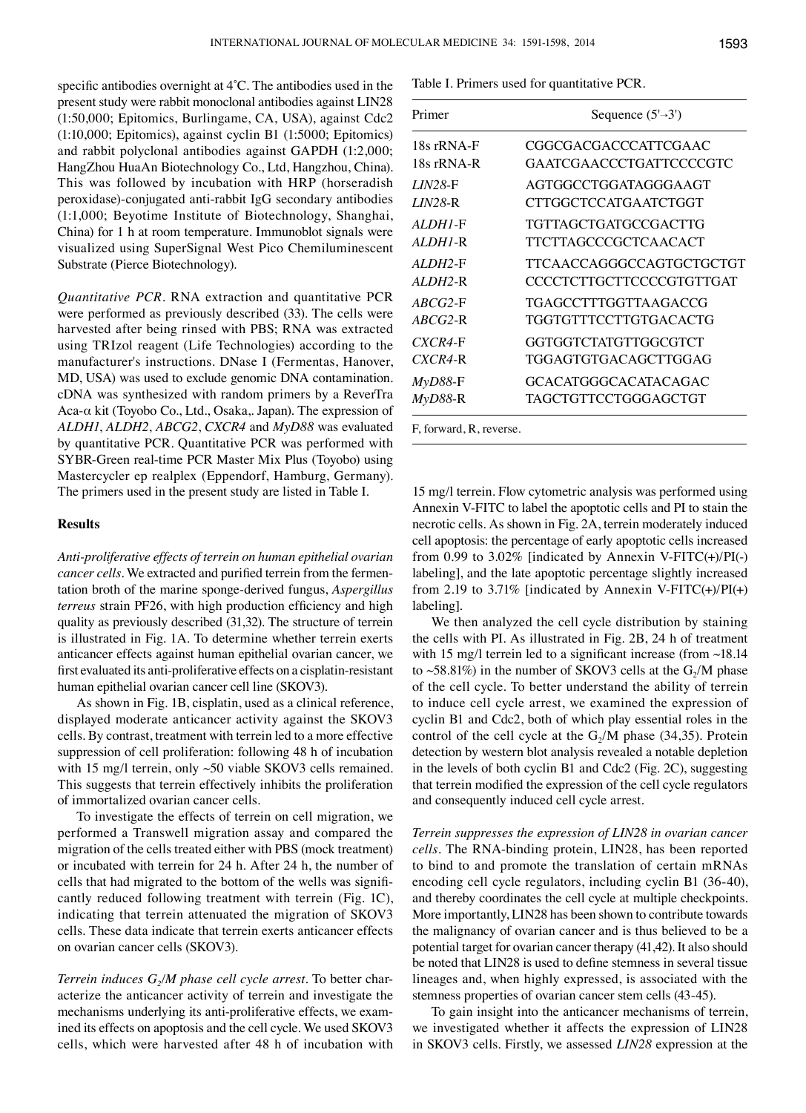specific antibodies overnight at 4˚C. The antibodies used in the present study were rabbit monoclonal antibodies against LIN28 (1:50,000; Epitomics, Burlingame, CA, USA), against Cdc2 (1:10,000; Epitomics), against cyclin B1 (1:5000; Epitomics) and rabbit polyclonal antibodies against GAPDH (1:2,000; HangZhou HuaAn Biotechnology Co., Ltd, Hangzhou, China). This was followed by incubation with HRP (horseradish peroxidase)-conjugated anti-rabbit IgG secondary antibodies (1:1,000; Beyotime Institute of Biotechnology, Shanghai, China) for 1 h at room temperature. Immunoblot signals were visualized using SuperSignal West Pico Chemiluminescent Substrate (Pierce Biotechnology).

*Quantitative PCR.* RNA extraction and quantitative PCR were performed as previously described (33). The cells were harvested after being rinsed with PBS; RNA was extracted using TRIzol reagent (Life Technologies) according to the manufacturer's instructions. DNase I (Fermentas, Hanover, MD, USA) was used to exclude genomic DNA contamination. cDNA was synthesized with random primers by a ReverTra Aca-α kit (Toyobo Co., Ltd., Osaka,. Japan). The expression of *ALDH1*, *ALDH2*, *ABCG2*, *CXCR4* and *MyD88* was evaluated by quantitative PCR. Quantitative PCR was performed with SYBR-Green real-time PCR Master Mix Plus (Toyobo) using Mastercycler ep realplex (Eppendorf, Hamburg, Germany). The primers used in the present study are listed in Table I.

## **Results**

*Anti-proliferative effects of terrein on human epithelial ovarian cancer cells.* We extracted and purified terrein from the fermentation broth of the marine sponge-derived fungus, *Aspergillus terreus* strain PF26, with high production efficiency and high quality as previously described (31,32). The structure of terrein is illustrated in Fig. 1A. To determine whether terrein exerts anticancer effects against human epithelial ovarian cancer, we first evaluated its anti-proliferative effects on a cisplatin-resistant human epithelial ovarian cancer cell line (SKOV3).

As shown in Fig. 1B, cisplatin, used as a clinical reference, displayed moderate anticancer activity against the SKOV3 cells. By contrast, treatment with terrein led to a more effective suppression of cell proliferation: following 48 h of incubation with 15 mg/l terrein, only ~50 viable SKOV3 cells remained. This suggests that terrein effectively inhibits the proliferation of immortalized ovarian cancer cells.

To investigate the effects of terrein on cell migration, we performed a Transwell migration assay and compared the migration of the cells treated either with PBS (mock treatment) or incubated with terrein for 24 h. After 24 h, the number of cells that had migrated to the bottom of the wells was significantly reduced following treatment with terrein (Fig. 1C), indicating that terrein attenuated the migration of SKOV3 cells. These data indicate that terrein exerts anticancer effects on ovarian cancer cells (SKOV3).

*Terrein induces*  $G_2/M$  *phase cell cycle arrest.* To better characterize the anticancer activity of terrein and investigate the mechanisms underlying its anti-proliferative effects, we examined its effects on apoptosis and the cell cycle. We used SKOV3 cells, which were harvested after 48 h of incubation with

Table I. Primers used for quantitative PCR.

| CGGCGACGACCCATTCGAAC<br>$18s$ rRNA-F<br>GAATCGAACCCTGATTCCCCGTC<br>$18s$ rRNA-R<br>AGTGGCCTGGATAGGGAAGT<br><i>LIN28-F</i><br>CTTGGCTCCATGAATCTGGT<br>$LIN28-R$<br>TGTTAGCTGATGCCGACTTG<br><i>ALDHI-F</i><br>TTCTTAGCCCGCTCAACACT<br>$ALDHI-R$<br>TTCAACCAGGGCCAGTGCTGCTGT<br>$ALDH2-F$<br>CCCCTCTTGCTTCCCCGTGTTGAT<br>$ALDH2-R$<br>TGAGCCTTTGGTTAAGACCG<br>ABCG2-F<br>TGGTGTTTCCTTGTGACACTG<br>$ABCG2-R$<br>GGTGGTCTATGTTGGCGTCT<br>CXCR4-F<br>TGGAGTGTGACAGCTTGGAG<br>CXCR4-R<br>GCACATGGGCACATACAGAC<br><i>MyD88-F</i><br>TAGCTGTTCCTGGGAGCTGT<br>MvD88-R | Primer | Sequence $(5\rightarrow 3')$ |
|-------------------------------------------------------------------------------------------------------------------------------------------------------------------------------------------------------------------------------------------------------------------------------------------------------------------------------------------------------------------------------------------------------------------------------------------------------------------------------------------------------------------------------------------------------------|--------|------------------------------|
|                                                                                                                                                                                                                                                                                                                                                                                                                                                                                                                                                             |        |                              |
|                                                                                                                                                                                                                                                                                                                                                                                                                                                                                                                                                             |        |                              |
|                                                                                                                                                                                                                                                                                                                                                                                                                                                                                                                                                             |        |                              |
|                                                                                                                                                                                                                                                                                                                                                                                                                                                                                                                                                             |        |                              |
|                                                                                                                                                                                                                                                                                                                                                                                                                                                                                                                                                             |        |                              |
|                                                                                                                                                                                                                                                                                                                                                                                                                                                                                                                                                             |        |                              |
|                                                                                                                                                                                                                                                                                                                                                                                                                                                                                                                                                             |        |                              |

F, forward, R, reverse.

15 mg/l terrein. Flow cytometric analysis was performed using Annexin V-FITC to label the apoptotic cells and PI to stain the necrotic cells. As shown in Fig. 2A, terrein moderately induced cell apoptosis: the percentage of early apoptotic cells increased from 0.99 to 3.02% [indicated by Annexin V-FITC(+)/PI(-) labeling], and the late apoptotic percentage slightly increased from 2.19 to 3.71% [indicated by Annexin V-FITC(+)/PI(+) labeling].

We then analyzed the cell cycle distribution by staining the cells with PI. As illustrated in Fig. 2B, 24 h of treatment with 15 mg/l terrein led to a significant increase (from ~18.14) to  $\sim$ 58.81%) in the number of SKOV3 cells at the G<sub>2</sub>/M phase of the cell cycle. To better understand the ability of terrein to induce cell cycle arrest, we examined the expression of cyclin B1 and Cdc2, both of which play essential roles in the control of the cell cycle at the  $G_2/M$  phase (34,35). Protein detection by western blot analysis revealed a notable depletion in the levels of both cyclin B1 and Cdc2 (Fig. 2C), suggesting that terrein modified the expression of the cell cycle regulators and consequently induced cell cycle arrest.

*Terrein suppresses the expression of LIN28 in ovarian cancer cells.* The RNA-binding protein, LIN28, has been reported to bind to and promote the translation of certain mRNAs encoding cell cycle regulators, including cyclin B1 (36-40), and thereby coordinates the cell cycle at multiple checkpoints. More importantly, LIN28 has been shown to contribute towards the malignancy of ovarian cancer and is thus believed to be a potential target for ovarian cancer therapy (41,42). It also should be noted that LIN28 is used to define stemness in several tissue lineages and, when highly expressed, is associated with the stemness properties of ovarian cancer stem cells (43-45).

To gain insight into the anticancer mechanisms of terrein, we investigated whether it affects the expression of LIN28 in SKOV3 cells. Firstly, we assessed *LIN28* expression at the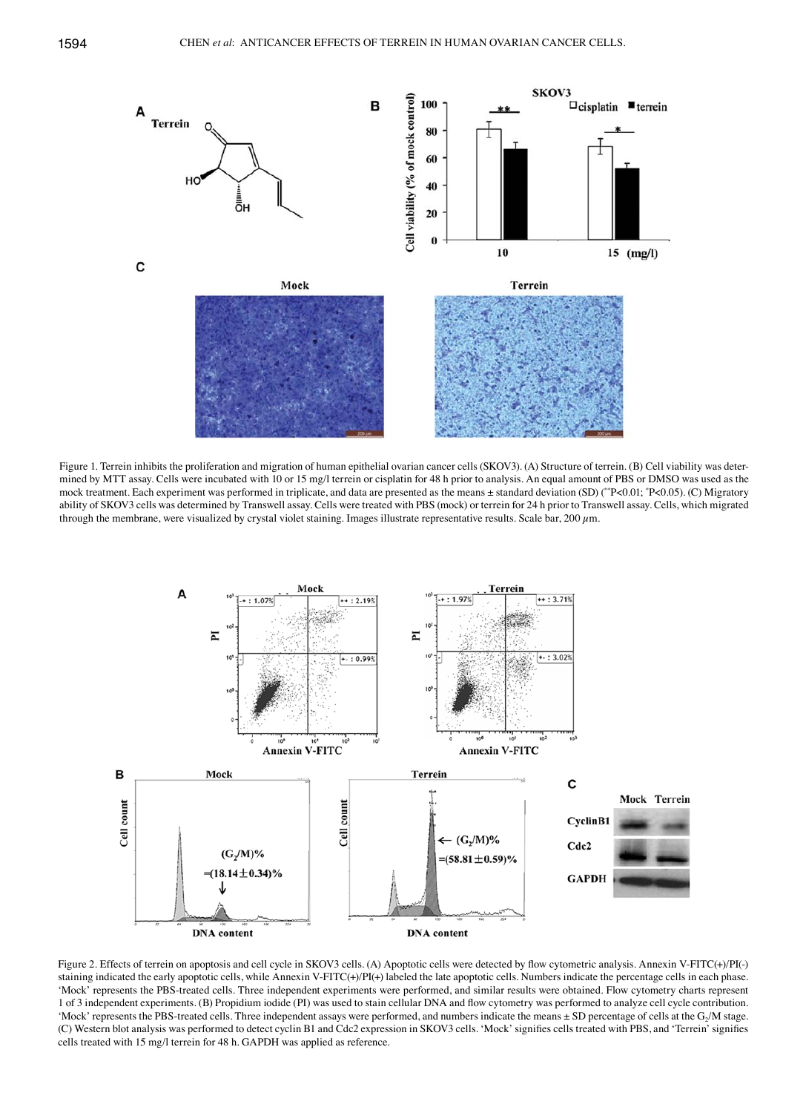

Figure 1. Terrein inhibits the proliferation and migration of human epithelial ovarian cancer cells (SKOV3). (A) Structure of terrein. (B) Cell viability was determined by MTT assay. Cells were incubated with 10 or 15 mg/l terrein or cisplatin for 48 h prior to analysis. An equal amount of PBS or DMSO was used as the mock treatment. Each experiment was performed in triplicate, and data are presented as the means ± standard deviation (SD) (\*\*P<0.01; \* P<0.05). (C) Migratory ability of SKOV3 cells was determined by Transwell assay. Cells were treated with PBS (mock) or terrein for 24 h prior to Transwell assay. Cells, which migrated through the membrane, were visualized by crystal violet staining. Images illustrate representative results. Scale bar, 200  $\mu$ m.



Figure 2. Effects of terrein on apoptosis and cell cycle in SKOV3 cells. (A) Apoptotic cells were detected by flow cytometric analysis. Annexin V-FITC(+)/PI(-) staining indicated the early apoptotic cells, while Annexin V-FITC(+)/PI(+) labeled the late apoptotic cells. Numbers indicate the percentage cells in each phase. 'Mock' represents the PBS-treated cells. Three independent experiments were performed, and similar results were obtained. Flow cytometry charts represent 1 of 3 independent experiments. (B) Propidium iodide (PI) was used to stain cellular DNA and flow cytometry was performed to analyze cell cycle contribution. 'Mock' represents the PBS-treated cells. Three independent assays were performed, and numbers indicate the means ± SD percentage of cells at the G<sub>2</sub>/M stage. (C) Western blot analysis was performed to detect cyclin B1 and Cdc2 expression in SKOV3 cells. 'Mock' signifies cells treated with PBS, and 'Terrein' signifies cells treated with 15 mg/l terrein for 48 h. GAPDH was applied as reference.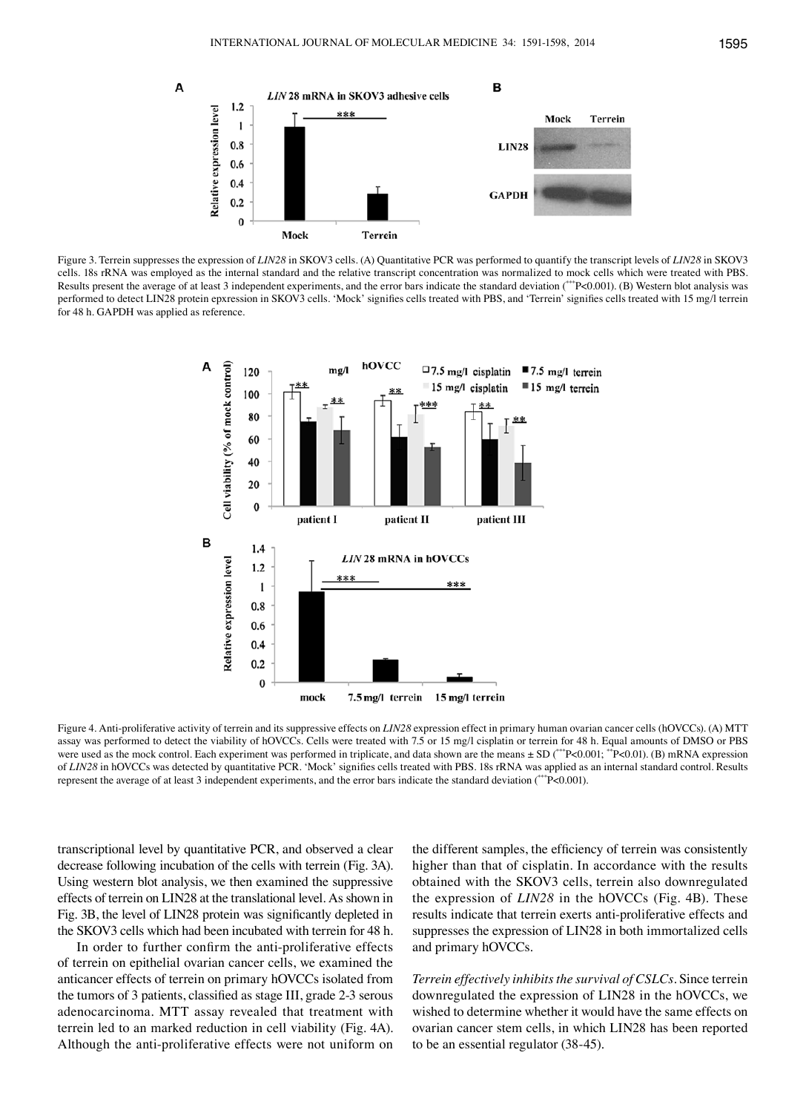

Figure 3. Terrein suppresses the expression of *LIN28* in SKOV3 cells. (A) Quantitative PCR was performed to quantify the transcript levels of *LIN28* in SKOV3 cells. 18s rRNA was employed as the internal standard and the relative transcript concentration was normalized to mock cells which were treated with PBS. Results present the average of at least 3 independent experiments, and the error bars indicate the standard deviation (\*\*\*P<0.001). (B) Western blot analysis was performed to detect LIN28 protein epxression in SKOV3 cells. 'Mock' signifies cells treated with PBS, and 'Terrein' signifies cells treated with 15 mg/l terrein for 48 h. GAPDH was applied as reference.



Figure 4. Anti-proliferative activity of terrein and its suppressive effects on *LIN28* expression effect in primary human ovarian cancer cells (hOVCCs). (A) MTT assay was performed to detect the viability of hOVCCs. Cells were treated with 7.5 or 15 mg/l cisplatin or terrein for 48 h. Equal amounts of DMSO or PBS were used as the mock control. Each experiment was performed in triplicate, and data shown are the means  $\pm$  SD (\*\*\*P<0.001; \*\*P<0.001). (B) mRNA expression of *LIN28* in hOVCCs was detected by quantitative PCR. 'Mock' signifies cells treated with PBS. 18s rRNA was applied as an internal standard control. Results represent the average of at least 3 independent experiments, and the error bars indicate the standard deviation (\*\*\*P<0.001).

transcriptional level by quantitative PCR, and observed a clear decrease following incubation of the cells with terrein (Fig. 3A). Using western blot analysis, we then examined the suppressive effects of terrein on LIN28 at the translational level. As shown in Fig. 3B, the level of LIN28 protein was significantly depleted in the SKOV3 cells which had been incubated with terrein for 48 h.

In order to further confirm the anti-proliferative effects of terrein on epithelial ovarian cancer cells, we examined the anticancer effects of terrein on primary hOVCCs isolated from the tumors of 3 patients, classified as stage III, grade 2-3 serous adenocarcinoma. MTT assay revealed that treatment with terrein led to an marked reduction in cell viability (Fig. 4A). Although the anti-proliferative effects were not uniform on

the different samples, the efficiency of terrein was consistently higher than that of cisplatin. In accordance with the results obtained with the SKOV3 cells, terrein also downregulated the expression of *LIN28* in the hOVCCs (Fig. 4B). These results indicate that terrein exerts anti-proliferative effects and suppresses the expression of LIN28 in both immortalized cells and primary hOVCCs.

*Terrein effectively inhibits the survival of CSLCs.* Since terrein downregulated the expression of LIN28 in the hOVCCs, we wished to determine whether it would have the same effects on ovarian cancer stem cells, in which LIN28 has been reported to be an essential regulator (38-45).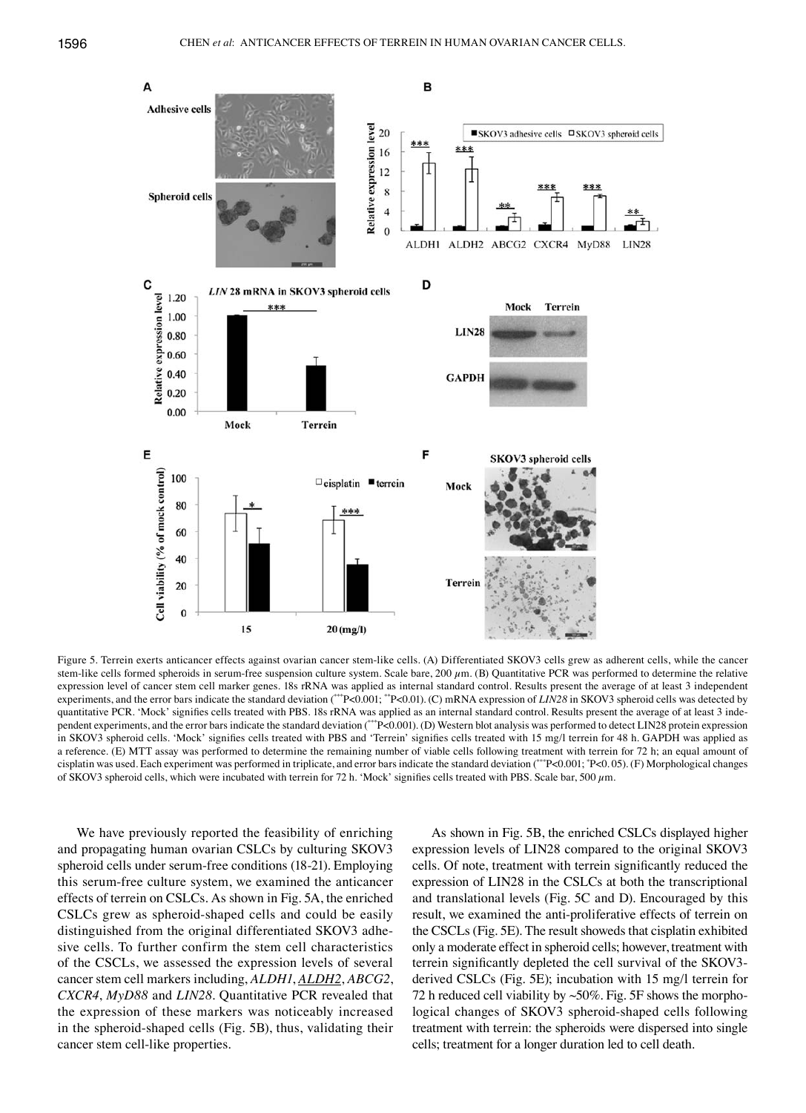

Figure 5. Terrein exerts anticancer effects against ovarian cancer stem-like cells. (A) Differentiated SKOV3 cells grew as adherent cells, while the cancer stem-like cells formed spheroids in serum-free suspension culture system. Scale bare, 200  $\mu$ m. (B) Quantitative PCR was performed to determine the relative expression level of cancer stem cell marker genes. 18s rRNA was applied as internal standard control. Results present the average of at least 3 independent experiments, and the error bars indicate the standard deviation (\*\*\*P<0.001; \*\*P<0.01). (C) mRNA expression of *LIN28* in SKOV3 spheroid cells was detected by quantitative PCR. 'Mock' signifies cells treated with PBS. 18s rRNA was applied as an internal standard control. Results present the average of at least 3 independent experiments, and the error bars indicate the standard deviation (\*\*\*P<0.001). (D) Western blot analysis was performed to detect LIN28 protein expression in SKOV3 spheroid cells. 'Mock' signifies cells treated with PBS and 'Terrein' signifies cells treated with 15 mg/l terrein for 48 h. GAPDH was applied as a reference. (E) MTT assay was performed to determine the remaining number of viable cells following treatment with terrein for 72 h; an equal amount of cisplatin was used. Each experiment was performed in triplicate, and error bars indicate the standard deviation (\*\*\*P<0.001; \* P<0. 05). (F) Morphological changes of SKOV3 spheroid cells, which were incubated with terrein for 72 h. 'Mock' signifies cells treated with PBS. Scale bar, 500 µm.

We have previously reported the feasibility of enriching and propagating human ovarian CSLCs by culturing SKOV3 spheroid cells under serum-free conditions (18-21). Employing this serum-free culture system, we examined the anticancer effects of terrein on CSLCs. As shown in Fig. 5A, the enriched CSLCs grew as spheroid-shaped cells and could be easily distinguished from the original differentiated SKOV3 adhesive cells. To further confirm the stem cell characteristics of the CSCLs, we assessed the expression levels of several cancer stem cell markers including, *ALDH1*, *ALDH2*, *ABCG2*, *CXCR4*, *MyD88* and *LIN28*. Quantitative PCR revealed that the expression of these markers was noticeably increased in the spheroid-shaped cells (Fig. 5B), thus, validating their cancer stem cell-like properties.

As shown in Fig. 5B, the enriched CSLCs displayed higher expression levels of LIN28 compared to the original SKOV3 cells. Of note, treatment with terrein significantly reduced the expression of LIN28 in the CSLCs at both the transcriptional and translational levels (Fig. 5C and D). Encouraged by this result, we examined the anti-proliferative effects of terrein on the CSCLs (Fig. 5E). The result showeds that cisplatin exhibited only a moderate effect in spheroid cells; however, treatment with terrein significantly depleted the cell survival of the SKOV3 derived CSLCs (Fig. 5E); incubation with 15 mg/l terrein for 72 h reduced cell viability by  $\sim$ 50%. Fig. 5F shows the morphological changes of SKOV3 spheroid-shaped cells following treatment with terrein: the spheroids were dispersed into single cells; treatment for a longer duration led to cell death.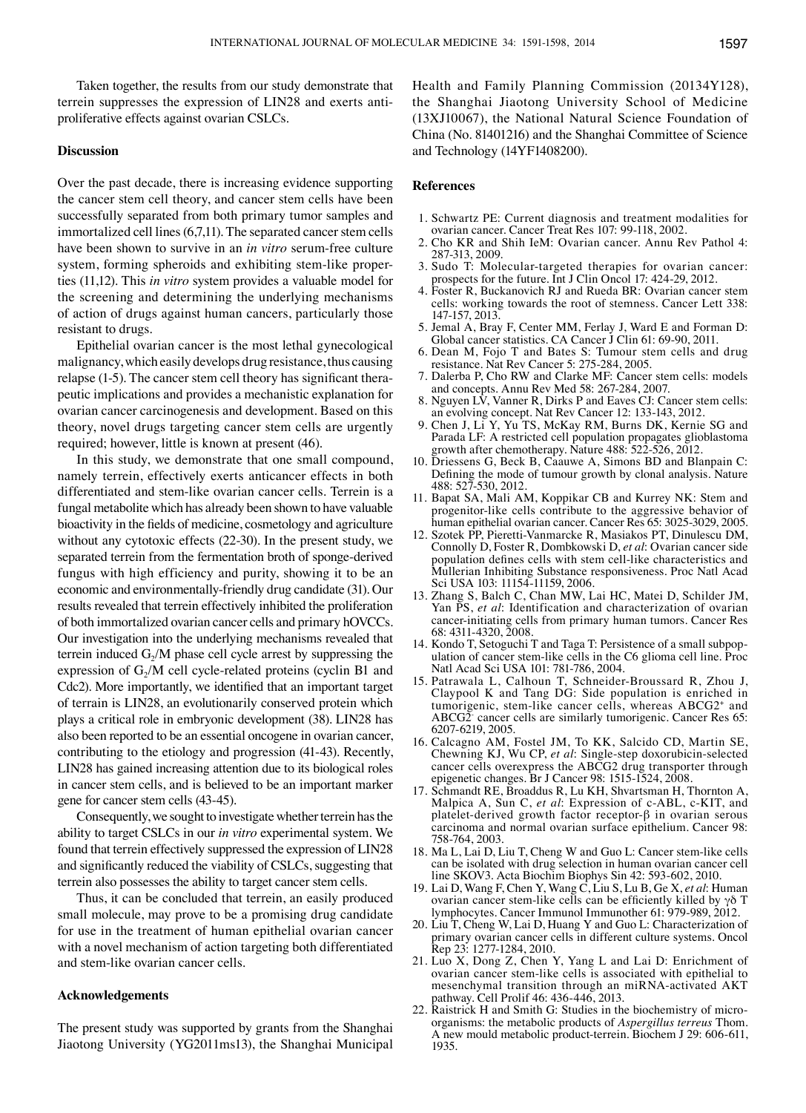Taken together, the results from our study demonstrate that terrein suppresses the expression of LIN28 and exerts antiproliferative effects against ovarian CSLCs.

#### **Discussion**

Over the past decade, there is increasing evidence supporting the cancer stem cell theory, and cancer stem cells have been successfully separated from both primary tumor samples and immortalized cell lines(6,7,11). The separated cancer stem cells have been shown to survive in an *in vitro* serum-free culture system, forming spheroids and exhibiting stem-like properties (11,12). This *in vitro* system provides a valuable model for the screening and determining the underlying mechanisms of action of drugs against human cancers, particularly those resistant to drugs.

Epithelial ovarian cancer is the most lethal gynecological malignancy, which easily develops drug resistance, thus causing relapse (1-5). The cancer stem cell theory has significant therapeutic implications and provides a mechanistic explanation for ovarian cancer carcinogenesis and development. Based on this theory, novel drugs targeting cancer stem cells are urgently required; however, little is known at present (46).

In this study, we demonstrate that one small compound, namely terrein, effectively exerts anticancer effects in both differentiated and stem-like ovarian cancer cells. Terrein is a fungal metabolite which has already been shown to have valuable bioactivity in the fields of medicine, cosmetology and agriculture without any cytotoxic effects (22-30). In the present study, we separated terrein from the fermentation broth of sponge-derived fungus with high efficiency and purity, showing it to be an economic and environmentally-friendly drug candidate (31). Our results revealed that terrein effectively inhibited the proliferation of both immortalized ovarian cancer cells and primary hOVCCs. Our investigation into the underlying mechanisms revealed that terrein induced  $G_2/M$  phase cell cycle arrest by suppressing the expression of  $G<sub>2</sub>/M$  cell cycle-related proteins (cyclin B1 and Cdc2). More importantly, we identified that an important target of terrain is LIN28, an evolutionarily conserved protein which plays a critical role in embryonic development (38). LIN28 has also been reported to be an essential oncogene in ovarian cancer, contributing to the etiology and progression (41-43). Recently, LIN28 has gained increasing attention due to its biological roles in cancer stem cells, and is believed to be an important marker gene for cancer stem cells (43-45).

Consequently, we sought to investigate whether terrein has the ability to target CSLCs in our *in vitro* experimental system. We found that terrein effectively suppressed the expression of LIN28 and significantly reduced the viability of CSLCs, suggesting that terrein also possesses the ability to target cancer stem cells.

Thus, it can be concluded that terrein, an easily produced small molecule, may prove to be a promising drug candidate for use in the treatment of human epithelial ovarian cancer with a novel mechanism of action targeting both differentiated and stem-like ovarian cancer cells.

## **Acknowledgements**

The present study was supported by grants from the Shanghai Jiaotong University (YG2011ms13), the Shanghai Municipal Health and Family Planning Commission (20134Y128), the Shanghai Jiaotong University School of Medicine (13XJ10067), the National Natural Science Foundation of China (No. 81401216) and the Shanghai Committee of Science and Technology (14YF1408200).

## **References**

- 1. Schwartz PE: Current diagnosis and treatment modalities for ovarian cancer. Cancer Treat Res 107: 99-118, 2002.
- 2. Cho KR and Shih IeM: Ovarian cancer. Annu Rev Pathol 4: 287-313, 2009.
- 3. Sudo T: Molecular-targeted therapies for ovarian cancer: prospects for the future. Int J Clin Oncol 17: 424-29, 2012.
- 4. Foster R, Buckanovich RJ and Rueda BR: Ovarian cancer stem cells: working towards the root of stemness. Cancer Lett 338: 147-157, 2013.
- 5. Jemal A, Bray F, Center MM, Ferlay J, Ward E and Forman D: Global cancer statistics. CA Cancer J Clin 61: 69-90, 2011.
- 6. Dean M, Fojo T and Bates S: Tumour stem cells and drug resistance. Nat Rev Cancer 5: 275-284, 2005.
- 7. Dalerba P, Cho RW and Clarke MF: Cancer stem cells: models and concepts. Annu Rev Med 58: 267-284, 2007.
- 8. Nguyen LV, Vanner R, Dirks P and Eaves CJ: Cancer stem cells: an evolving concept. Nat Rev Cancer 12: 133-143, 2012.
- 9. Chen J, Li Y, Yu TS, McKay RM, Burns DK, Kernie SG and Parada LF: A restricted cell population propagates glioblastoma growth after chemotherapy. Nature 488: 522-526, 2012.
- 10. Driessens G, Beck B, Caauwe A, Simons BD and Blanpain C: Defining the mode of tumour growth by clonal analysis. Nature 488: 527-530, 2012.
- 11. Bapat SA, Mali AM, Koppikar CB and Kurrey NK: Stem and progenitor-like cells contribute to the aggressive behavior of human epithelial ovarian cancer. Cancer Res 65: 3025-3029, 2005.
- 12. Szotek PP, Pieretti-Vanmarcke R, Masiakos PT, Dinulescu DM, Connolly D, Foster R, Dombkowski D, *et al*: Ovarian cancer side population defines cells with stem cell-like characteristics and Mullerian Inhibiting Substance responsiveness. Proc Natl Acad Sci USA 103: 11154-11159, 2006.
- 13. Zhang S, Balch C, Chan MW, Lai HC, Matei D, Schilder JM, Yan PS, *et al*: Identification and characterization of ovarian cancer-initiating cells from primary human tumors. Cancer Res 68: 4311-4320, 2008.
- 14. Kondo T, Setoguchi T and Taga T: Persistence of a small subpopulation of cancer stem-like cells in the C6 glioma cell line. Proc Natl Acad Sci USA 101: 781-786, 2004.
- 15. Patrawala L, Calhoun T, Schneider-Broussard R, Zhou J, Claypool K and Tang DG: Side population is enriched in tumorigenic, stem-like cancer cells, whereas ABCG2+ and ABCG2- cancer cells are similarly tumorigenic. Cancer Res 65: 6207-6219, 2005.
- 16. Calcagno AM, Fostel JM, To KK, Salcido CD, Martin SE, Chewning KJ, Wu CP, *et al*: Single-step doxorubicin-selected cancer cells overexpress the ABCG2 drug transporter through epigenetic changes. Br J Cancer 98: 1515-1524, 2008.
- 17. Schmandt RE, Broaddus R, Lu KH, Shvartsman H, Thornton A, Malpica A, Sun C, *et al*: Expression of c-ABL, c-KIT, and platelet-derived growth factor receptor-β in ovarian serous carcinoma and normal ovarian surface epithelium. Cancer 98: 758-764, 2003.
- 18. Ma L, Lai D, Liu T, Cheng W and Guo L: Cancer stem-like cells can be isolated with drug selection in human ovarian cancer cell line SKOV3. Acta Biochim Biophys Sin 42: 593-602, 2010.
- 19. Lai D, Wang F, Chen Y, Wang C, Liu S, Lu B, Ge X, *et al*: Human ovarian cancer stem-like cells can be efficiently killed by  $γδ T$ lymphocytes. Cancer Immunol Immunother 61: 979-989, 2012.
- 20. Liu T, Cheng W, Lai D, Huang Y and Guo L: Characterization of primary ovarian cancer cells in different culture systems. Oncol Rep 23: 1277-1284, 2010.
- 21. Luo X, Dong Z, Chen Y, Yang L and Lai D: Enrichment of ovarian cancer stem-like cells is associated with epithelial to mesenchymal transition through an miRNA-activated AKT pathway. Cell Prolif 46: 436-446, 2013.
- 22. Raistrick H and Smith G: Studies in the biochemistry of microorganisms: the metabolic products of *Aspergillus terreus* Thom. A new mould metabolic product-terrein. Biochem J 29: 606-611, 1935.